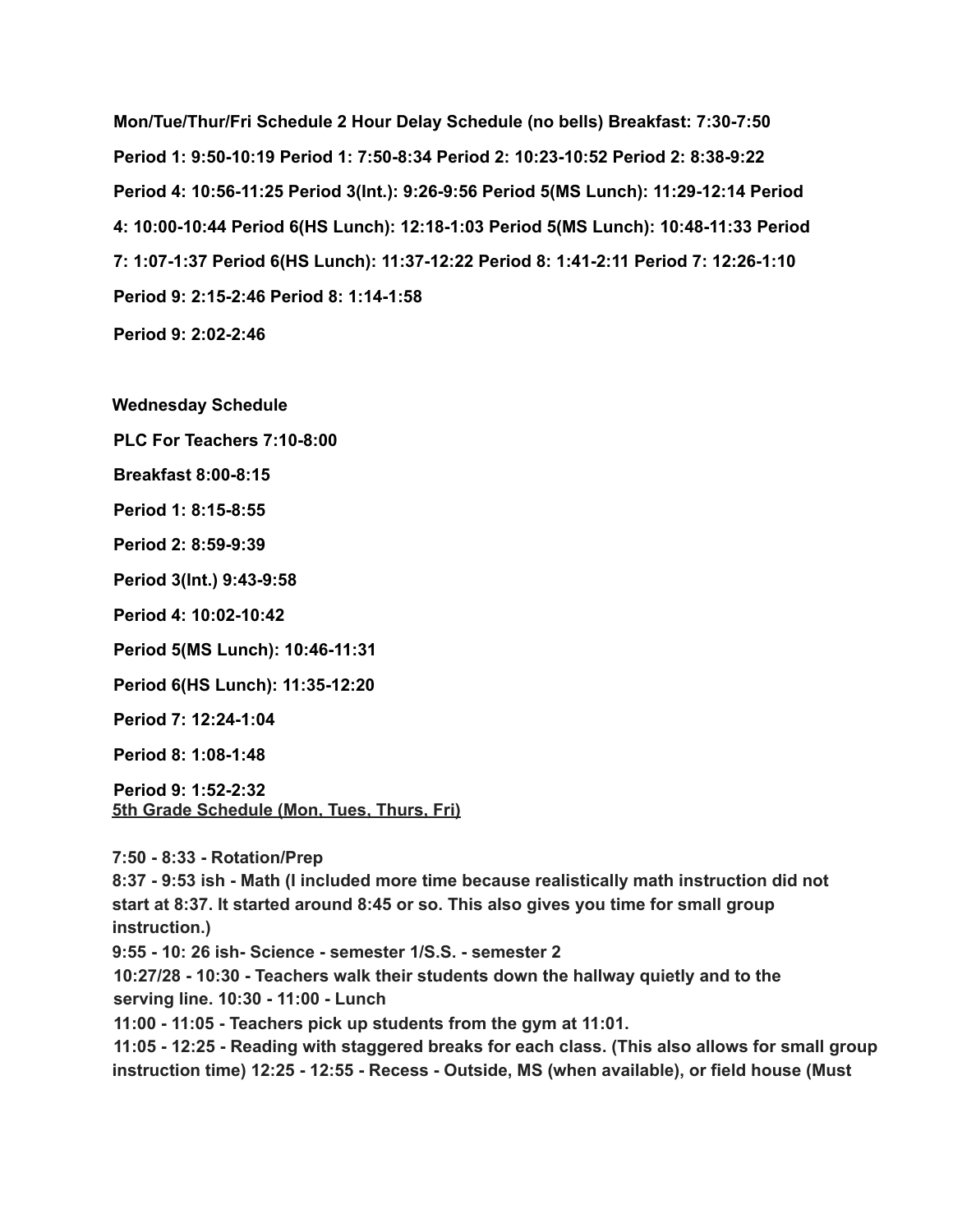**Mon/Tue/Thur/Fri Schedule 2 Hour Delay Schedule (no bells) Breakfast: 7:30-7:50 Period 1: 9:50-10:19 Period 1: 7:50-8:34 Period 2: 10:23-10:52 Period 2: 8:38-9:22 Period 4: 10:56-11:25 Period 3(Int.): 9:26-9:56 Period 5(MS Lunch): 11:29-12:14 Period 4: 10:00-10:44 Period 6(HS Lunch): 12:18-1:03 Period 5(MS Lunch): 10:48-11:33 Period 7: 1:07-1:37 Period 6(HS Lunch): 11:37-12:22 Period 8: 1:41-2:11 Period 7: 12:26-1:10 Period 9: 2:15-2:46 Period 8: 1:14-1:58**

**Period 9: 2:02-2:46**

**Wednesday Schedule**

**PLC For Teachers 7:10-8:00**

**Breakfast 8:00-8:15**

**Period 1: 8:15-8:55**

**Period 2: 8:59-9:39**

**Period 3(Int.) 9:43-9:58**

**Period 4: 10:02-10:42**

**Period 5(MS Lunch): 10:46-11:31**

**Period 6(HS Lunch): 11:35-12:20**

**Period 7: 12:24-1:04**

**Period 8: 1:08-1:48**

**Period 9: 1:52-2:32 5th Grade Schedule (Mon, Tues, Thurs, Fri)**

**7:50 - 8:33 - Rotation/Prep**

**8:37 - 9:53 ish - Math (I included more time because realistically math instruction did not start at 8:37. It started around 8:45 or so. This also gives you time for small group instruction.)**

**9:55 - 10: 26 ish- Science - semester 1/S.S. - semester 2**

**10:27/28 - 10:30 - Teachers walk their students down the hallway quietly and to the serving line. 10:30 - 11:00 - Lunch**

**11:00 - 11:05 - Teachers pick up students from the gym at 11:01.**

**11:05 - 12:25 - Reading with staggered breaks for each class. (This also allows for small group instruction time) 12:25 - 12:55 - Recess - Outside, MS (when available), or field house (Must**